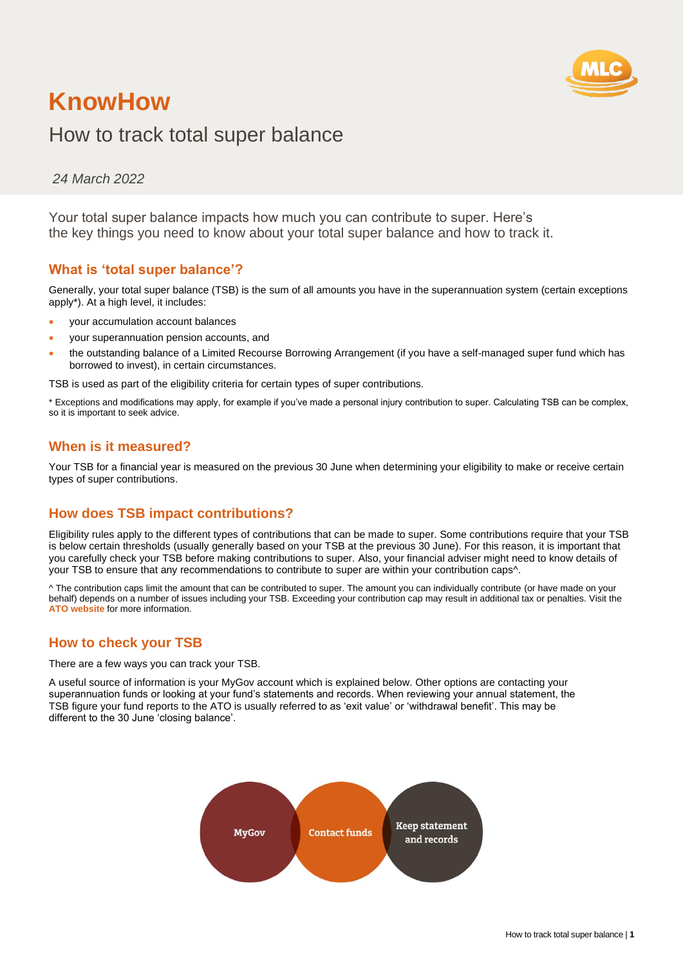

# How to track total super balance

*24 March 2022*

Your total super balance impacts how much you can contribute to super. Here's the key things you need to know about your total super balance and how to track it.

## **What is 'total super balance'?**

Generally, your total super balance (TSB) is the sum of all amounts you have in the superannuation system (certain exceptions apply\*). At a high level, it includes:

- your accumulation account balances
- your superannuation pension accounts, and
- the outstanding balance of a Limited Recourse Borrowing Arrangement (if you have a self-managed super fund which has borrowed to invest), in certain circumstances.

TSB is used as part of the eligibility criteria for certain types of super contributions.

\* Exceptions and modifications may apply, for example if you've made a personal injury contribution to super. Calculating TSB can be complex, so it is important to seek advice.

## **When is it measured?**

Your TSB for a financial year is measured on the previous 30 June when determining your eligibility to make or receive certain types of super contributions.

### **How does TSB impact contributions?**

Eligibility rules apply to the different types of contributions that can be made to super. Some contributions require that your TSB is below certain thresholds (usually generally based on your TSB at the previous 30 June). For this reason, it is important that you carefully check your TSB before making contributions to super. Also, your financial adviser might need to know details of your TSB to ensure that any recommendations to contribute to super are within your contribution caps^.

^ The contribution caps limit the amount that can be contributed to super. The amount you can individually contribute (or have made on your behalf) depends on a number of issues including your TSB. Exceeding your contribution cap may result in additional tax or penalties. Visit the **[ATO](https://www.ato.gov.au/) website** for more information.

### **How to check your TSB**

There are a few ways you can track your TSB.

A useful source of information is your MyGov account which is explained below. Other options are contacting your superannuation funds or looking at your fund's statements and records. When reviewing your annual statement, the TSB figure your fund reports to the ATO is usually referred to as 'exit value' or 'withdrawal benefit'. This may be different to the 30 June 'closing balance'.

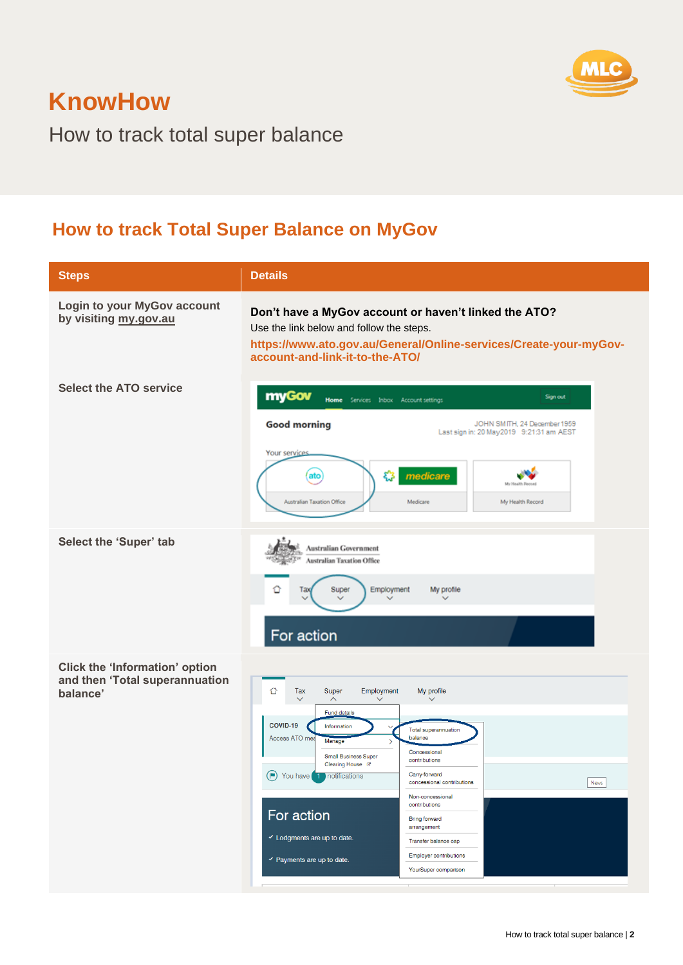

How to track total super balance

## **How to track Total Super Balance on MyGov**

| <b>Steps</b>                                                                        | <b>Details</b>                                                                                                                                                                                                                                                                                                                                                                                                                                                                                                                      |  |  |
|-------------------------------------------------------------------------------------|-------------------------------------------------------------------------------------------------------------------------------------------------------------------------------------------------------------------------------------------------------------------------------------------------------------------------------------------------------------------------------------------------------------------------------------------------------------------------------------------------------------------------------------|--|--|
| Login to your MyGov account<br>by visiting my.gov.au                                | Don't have a MyGov account or haven't linked the ATO?<br>Use the link below and follow the steps.<br>https://www.ato.gov.au/General/Online-services/Create-your-myGov-<br>account-and-link-it-to-the-ATO/                                                                                                                                                                                                                                                                                                                           |  |  |
| <b>Select the ATO service</b>                                                       | myGov<br>Sign out<br><b>Home</b> Services Inbox Account settings<br><b>Good morning</b><br>JOHN SMITH, 24 December 1959<br>Last sign in: 20 May 2019 9:21:31 am AEST<br>Your services<br>భ<br>ato<br>medicare<br>My Health Record<br>Australian Taxation Office<br>My Health Record<br>Medicare                                                                                                                                                                                                                                     |  |  |
| Select the 'Super' tab                                                              | Australian Government<br>Australian Taxation Office<br>≏<br>Employment<br>Super<br>My profile<br>Tax<br>$\checkmark$<br>For action<br>Employment<br>My profile<br>⇧<br>Tax<br>Super<br>$\widehat{\phantom{a}}$<br>$\checkmark$<br>Fund details                                                                                                                                                                                                                                                                                      |  |  |
| <b>Click the 'Information' option</b><br>and then 'Total superannuation<br>balance' | COVID-19<br>Information<br><b>Total superannuation</b><br>Access ATO mea<br>balance<br>Manage<br>$\rightarrow$<br>Concessional<br><b>Small Business Super</b><br>contributions<br>Clearing House &<br>(P) You have 1 notifications<br>Carry-forward<br>concessional contributions<br>News<br>Non-concessional<br>contributions<br>For action<br><b>Bring forward</b><br>arrangement<br>Lodgments are up to date.<br>Transfer balance cap<br>Employer contributions<br>$\checkmark$ Payments are up to date.<br>YourSuper comparison |  |  |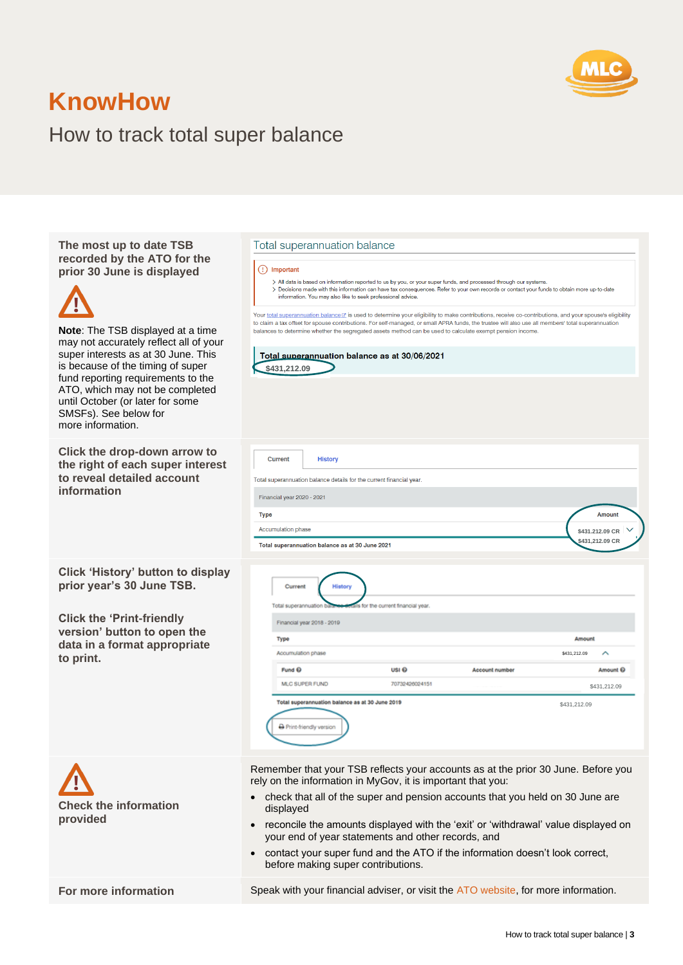

# How to track total super balance

| The most up to date TSB     |
|-----------------------------|
| recorded by the ATO for the |
| prior 30 June is displayed  |



**Note**: The TSB displayed at a time may not accurately reflect all of your super interests as at 30 June. This is because of the timing of super fund reporting requirements to the ATO, which may not be completed until October (or later for some SMSFs). See below for more information.

**Click the drop-down arrow to the right of each super interest to reveal detailed account information**

**Click 'History' button to display prior year's 30 June TSB.**

**Click the 'Print-friendly version' button to open the data in a format appropriate to print.**



#### Total superannuation balance

#### (!) Important

r

> All data is based on information reported to us by you, or your super funds, and processed through our systems The distinct and the information can have tax consequences. Refer to your own records or contact your funds to obtain more up-to-date<br>Information. You may also like to seek professional advice.

Your total superannuation balancetz is used to determine your eligibility to make contributions, receive co-contributions, and your spouse's eligibility to claim a tax offset for spouse contributions. For self-managed, or small APRA funds, the trustee will also use all members' total superannuation balances to determine whether the segregated assets method can be used to calculate exempt pension income

| \$431,212.09                                                         |                                    |                |              |                     |
|----------------------------------------------------------------------|------------------------------------|----------------|--------------|---------------------|
|                                                                      |                                    |                |              |                     |
|                                                                      |                                    |                |              |                     |
|                                                                      |                                    |                |              |                     |
| <b>Current</b><br><b>History</b>                                     |                                    |                |              |                     |
| Total superannuation balance details for the current financial year. |                                    |                |              |                     |
| Financial year 2020 - 2021                                           |                                    |                |              |                     |
| <b>Type</b>                                                          |                                    |                |              | <b>Amount</b>       |
| Accumulation phase                                                   |                                    |                |              | \$431.212.09 CR     |
| Total superannuation balance as at 30 June 2021                      |                                    |                |              | \$431,212.09 CR     |
|                                                                      |                                    |                |              |                     |
| Current<br><b>History</b>                                            |                                    |                |              |                     |
| Total superannuation bala                                            | is for the current financial year. |                |              |                     |
| Financial year 2018 - 2019                                           |                                    |                |              |                     |
| Type                                                                 |                                    |                | Amount       |                     |
| Accumulation phase                                                   |                                    |                | \$431,212.09 | ́                   |
| Fund <sup>Q</sup>                                                    | USI <sub>O</sub>                   | Account number |              | Amount <sup>6</sup> |
|                                                                      | 70732426024151                     |                |              | \$431,212.09        |
| MLC SUPER FUND                                                       |                                    |                |              |                     |

Remember that your TSB reflects your accounts as at the prior 30 June. Before you rely on the information in MyGov, it is important that you:

- check that all of the super and pension accounts that you held on 30 June are displayed
- reconcile the amounts displayed with the 'exit' or 'withdrawal' value displayed on your end of year statements and other records, and
- contact your super fund and the ATO if the information doesn't look correct, before making super contributions.

**For more information** Speak with your financial adviser, or visit the [ATO website,](https://www.ato.gov.au/) for more information.